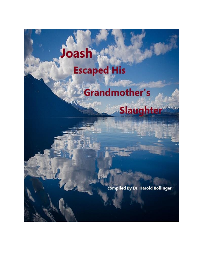# **Escaped His**

**CONSTRUCTION** 

Joash

# Grandmother's

compiled By Dr. Harold Bollinger

Slaughter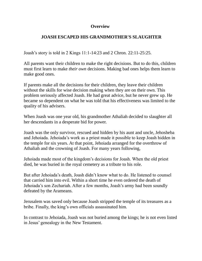### **Overview**

# **JOASH ESCAPED HIS GRANDMOTHER'S SLAUGHTER**

Joash's story is told in 2 Kings 11:1-14:23 and 2 Chron. 22:11-25:25.

All parents want their children to make the right decisions. But to do this, children must first learn to make *their own* decisions. Making bad ones helps them learn to make good ones.

If parents make all the decisions for their children, they leave their children without the skills for wise decision making when they are on their own. This problem seriously affected Joash. He had great advice, but he never grew up. He became so dependent on what he was told that his effectiveness was limited to the quality of his advisers.

When Joash was one year old, his grandmother Athaliah decided to slaughter all her descendants in a desperate bid for power.

Joash was the only survivor, rescued and hidden by his aunt and uncle, Jehosheba and Jehoiada. Jehoiada's work as a priest made it possible to keep Joash hidden in the temple for six years. At that point, Jehoiada arranged for the overthrow of Athaliah and the crowning of Joash. For many years following,

Jehoiada made most of the kingdom's decisions for Joash. When the old priest died, he was buried in the royal cemetery as a tribute to his role.

But after Jehoiada's death, Joash didn't know what to do. He listened to counsel that carried him into evil. Within a short time he even ordered the death of Jehoiada's son Zechariah. After a few months, Joash's army had been soundly defeated by the Arameans.

Jerusalem was saved only because Joash stripped the temple of its treasures as a bribe. Finally, the king's own officials assassinated him.

In contrast to Jehoiada, Joash was not buried among the kings; he is not even listed in Jesus' genealogy in the New Testament.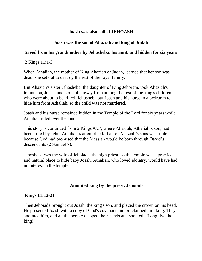## **Joash was also called JEHOASH**

## **Joash was the son of Ahaziah and king of Judah**

## **Saved from his grandmother by Jehosheba, his aunt, and hidden for six years**

2 Kings 11:1-3

When Athaliah, the mother of King Ahaziah of Judah, learned that her son was dead, she set out to destroy the rest of the royal family.

But Ahaziah's sister Jehosheba, the daughter of King Jehoram, took Ahaziah's infant son, Joash, and stole him away from among the rest of the king's children, who were about to be killed. Jehosheba put Joash and his nurse in a bedroom to hide him from Athaliah, so the child was not murdered.

Joash and his nurse remained hidden in the Temple of the Lord for six years while Athaliah ruled over the land.

This story is continued from 2 Kings 9:27, where Ahaziah, Athaliah's son, had been killed by Jehu. Athaliah's attempt to kill all of Ahaziah's sons was futile because God had promised that the Messiah would be born through David's descendants (2 Samuel 7).

Jehosheba was the wife of Jehoiada, the high priest, so the temple was a practical and natural place to hide baby Joash. Athaliah, who loved idolatry, would have had no interest in the temple.

# **Anointed king by the priest, Jehoiada**

# **Kings 11:12-21**

Then Jehoiada brought out Joash, the king's son, and placed the crown on his head. He presented Joash with a copy of God's covenant and proclaimed him king. They anointed him, and all the people clapped their hands and shouted, "Long live the king!"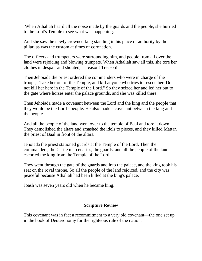When Athaliah heard all the noise made by the guards and the people, she hurried to the Lord's Temple to see what was happening.

And she saw the newly crowned king standing in his place of authority by the pillar, as was the custom at times of coronation.

The officers and trumpeters were surrounding him, and people from all over the land were rejoicing and blowing trumpets. When Athaliah saw all this, she tore her clothes in despair and shouted, "Treason! Treason!"

Then Jehoiada the priest ordered the commanders who were in charge of the troops, "Take her out of the Temple, and kill anyone who tries to rescue her. Do not kill her here in the Temple of the Lord." So they seized her and led her out to the gate where horses enter the palace grounds, and she was killed there.

Then Jehoiada made a covenant between the Lord and the king and the people that they would be the Lord's people. He also made a covenant between the king and the people.

And all the people of the land went over to the temple of Baal and tore it down. They demolished the altars and smashed the idols to pieces, and they killed Mattan the priest of Baal in front of the altars.

Jehoiada the priest stationed guards at the Temple of the Lord. Then the commanders, the Carite mercenaries, the guards, and all the people of the land escorted the king from the Temple of the Lord.

They went through the gate of the guards and into the palace, and the king took his seat on the royal throne. So all the people of the land rejoiced, and the city was peaceful because Athaliah had been killed at the king's palace.

Joash was seven years old when he became king.

## **Scripture Review**

This covenant was in fact a recommitment to a very old covenant—the one set up in the book of Deuteronomy for the righteous rule of the nation.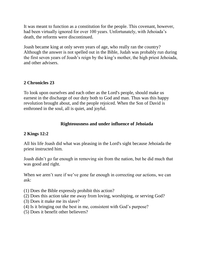It was meant to function as a constitution for the people. This covenant, however, had been virtually ignored for over 100 years. Unfortunately, with Jehoiada's death, the reforms were discontinued.

Joash became king at only seven years of age, who really ran the country? Although the answer is not spelled out in the Bible, Judah was probably run during the first seven years of Joash's reign by the king's mother, the high priest Jehoiada, and other advisers.

## **2 [Chronicles](http://www.crossbooks.com/verse.asp?ref=2Ch+23) 23**

To look upon ourselves and each other as the Lord's people, should make us earnest in the discharge of our duty both to God and man. Thus was this happy revolution brought about, and the people rejoiced. When the Son of David is enthroned in the soul, all is quiet, and joyful.

## **Righteousness and under influence of Jehoiada**

## **2 Kings 12:2**

All his life Joash did what was pleasing in the Lord's sight because Jehoiada the priest instructed him.

Joash didn't go far enough in removing sin from the nation, but he did much that was good and right.

When we aren't sure if we've gone far enough in correcting our actions, we can ask:

- (1) Does the Bible expressly prohibit this action?
- (2) Does this action take me away from loving, worshiping, or serving God?
- (3) Does it make me its slave?
- (4) Is it bringing out the best in me, consistent with God's purpose?
- (5) Does it benefit other believers?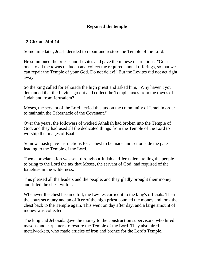## **Repaired the temple**

## **2 Chron. 24:4-14**

Some time later, Joash decided to repair and restore the Temple of the Lord.

He summoned the priests and Levites and gave them these instructions: "Go at once to all the towns of Judah and collect the required annual offerings, so that we can repair the Temple of your God. Do not delay!" But the Levites did not act right away.

So the king called for Jehoiada the high priest and asked him, "Why haven't you demanded that the Levites go out and collect the Temple taxes from the towns of Judah and from Jerusalem?

Moses, the servant of the Lord, levied this tax on the community of Israel in order to maintain the Tabernacle of the Covenant."

Over the years, the followers of wicked Athaliah had broken into the Temple of God, and they had used all the dedicated things from the Temple of the Lord to worship the images of Baal.

So now Joash gave instructions for a chest to be made and set outside the gate leading to the Temple of the Lord.

Then a proclamation was sent throughout Judah and Jerusalem, telling the people to bring to the Lord the tax that Moses, the servant of God, had required of the Israelites in the wilderness.

This pleased all the leaders and the people, and they gladly brought their money and filled the chest with it.

Whenever the chest became full, the Levites carried it to the king's officials. Then the court secretary and an officer of the high priest counted the money and took the chest back to the Temple again. This went on day after day, and a large amount of money was collected.

The king and Jehoiada gave the money to the construction supervisors, who hired masons and carpenters to restore the Temple of the Lord. They also hired metalworkers, who made articles of iron and bronze for the Lord's Temple.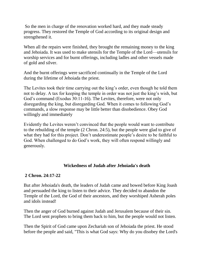So the men in charge of the renovation worked hard, and they made steady progress. They restored the Temple of God according to its original design and strengthened it.

When all the repairs were finished, they brought the remaining money to the king and Jehoiada. It was used to make utensils for the Temple of the Lord—utensils for worship services and for burnt offerings, including ladles and other vessels made of gold and silver.

And the burnt offerings were sacrificed continually in the Temple of the Lord during the lifetime of Jehoiada the priest.

The Levites took their time carrying out the king's order, even though he told them not to delay. A tax for keeping the temple in order was not just the king's wish, but God's command (Exodus 30:11-16). The Levites, therefore, were not only disregarding the king, but disregarding God. When it comes to following God's commands, a slow response may be little better than disobedience. Obey God willingly and immediately

Evidently the Levites weren't convinced that the people would want to contribute to the rebuilding of the temple (2 Chron. 24:5), but the people were glad to give of what they had for this project. Don't underestimate people's desire to be faithful to God. When challenged to do God's work, they will often respond willingly and generously.

# **Wickedness of Judah after Jehoiada's death**

# **2 Chron. 24:17-22**

But after Jehoiada's death, the leaders of Judah came and bowed before King Joash and persuaded the king to listen to their advice. They decided to abandon the Temple of the Lord, the God of their ancestors, and they worshiped Asherah poles and idols instead!

Then the anger of God burned against Judah and Jerusalem because of their sin. The Lord sent prophets to bring them back to him, but the people would not listen.

Then the Spirit of God came upon Zechariah son of Jehoiada the priest. He stood before the people and said, "This is what God says: Why do you disobey the Lord's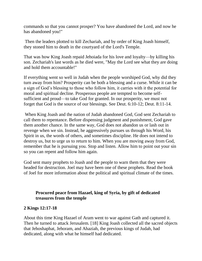commands so that you cannot prosper? You have abandoned the Lord, and now he has abandoned you!"

Then the leaders plotted to kill Zechariah, and by order of King Joash himself, they stoned him to death in the courtyard of the Lord's Temple.

That was how King Joash repaid Jehoiada for his love and loyalty—by killing his son. Zechariah's last words as he died were, "May the Lord see what they are doing and hold them accountable!"

If everything went so well in Judah when the people worshiped God, why did they turn away from him? Prosperity can be both a blessing and a curse. While it can be a sign of God's blessing to those who follow him, it carries with it the potential for moral and spiritual decline. Prosperous people are tempted to become selfsufficient and proud—to take God for granted. In our prosperity, we must not forget that God is the source of our blessings. See Deut. 6:10-12; Deut. 8:11-14.

When King Joash and the nation of Judah abandoned God, God sent Zechariah to call them to repentance. Before dispensing judgment and punishment, God gave them another chance. In the same way, God does not abandon us or lash out in revenge when we sin. Instead, he aggressively pursues us through his Word, his Spirit in us, the words of others, and sometimes discipline. He does not intend to destroy us, but to urge us to return to him. When you are moving away from God, remember that he is pursuing you. Stop and listen. Allow him to point out your sin so you can repent and follow him again.

God sent many prophets to Joash and the people to warn them that they were headed for destruction. Joel may have been one of these prophets. Read the book of Joel for more information about the political and spiritual climate of the times.

## **Procured peace from Hazael, king of Syria, by gift of dedicated treasures from the temple**

# **2 Kings 12:17-18**

About this time King Hazael of Aram went to war against Gath and captured it. Then he turned to attack Jerusalem. [18] King Joash collected all the sacred objects that Jehoshaphat, Jehoram, and Ahaziah, the previous kings of Judah, had dedicated, along with what he himself had dedicated.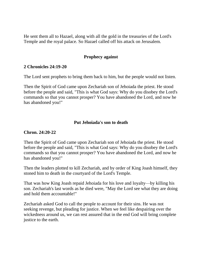He sent them all to Hazael, along with all the gold in the treasuries of the Lord's Temple and the royal palace. So Hazael called off his attack on Jerusalem.

## **Prophecy against**

#### **2 Chronicles 24:19-20**

The Lord sent prophets to bring them back to him, but the people would not listen.

Then the Spirit of God came upon Zechariah son of Jehoiada the priest. He stood before the people and said, "This is what God says: Why do you disobey the Lord's commands so that you cannot prosper? You have abandoned the Lord, and now he has abandoned you!"

## **Put Jehoiada's son to death**

#### **Chron. 24:20-22**

Then the Spirit of God came upon Zechariah son of Jehoiada the priest. He stood before the people and said, "This is what God says: Why do you disobey the Lord's commands so that you cannot prosper? You have abandoned the Lord, and now he has abandoned you!"

Then the leaders plotted to kill Zechariah, and by order of King Joash himself, they stoned him to death in the courtyard of the Lord's Temple.

That was how King Joash repaid Jehoiada for his love and loyalty—by killing his son. Zechariah's last words as he died were, "May the Lord see what they are doing and hold them accountable!"

Zechariah asked God to call the people to account for their sins. He was not seeking revenge, but pleading for justice. When we feel like despairing over the wickedness around us, we can rest assured that in the end God will bring complete justice to the earth.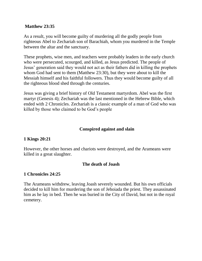#### **Matthew 23:35**

As a result, you will become guilty of murdering all the godly people from righteous Abel to Zechariah son of Barachiah, whom you murdered in the Temple between the altar and the sanctuary.

These prophets, wise men, and teachers were probably leaders in the early church who were persecuted, scourged, and killed, as Jesus predicted. The people of Jesus' generation said they would not act as their fathers did in killing the prophets whom God had sent to them (Matthew 23:30), but they were about to kill the Messiah himself and his faithful followers. Thus they would become guilty of all the righteous blood shed through the centuries.

Jesus was giving a brief history of Old Testament martyrdom. Abel was the first martyr (Genesis 4); Zechariah was the last mentioned in the Hebrew Bible, which ended with 2 Chronicles. Zechariah is a classic example of a man of God who was killed by those who claimed to be God's people

## **Conspired against and slain**

#### **1 Kings 20:21**

However, the other horses and chariots were destroyed, and the Arameans were killed in a great slaughter.

#### **The death of Joash**

#### **1 Chronicles 24:25**

The Arameans withdrew, leaving Joash severely wounded. But his own officials decided to kill him for murdering the son of Jehoiada the priest. They assassinated him as he lay in bed. Then he was buried in the City of David, but not in the royal cemetery.